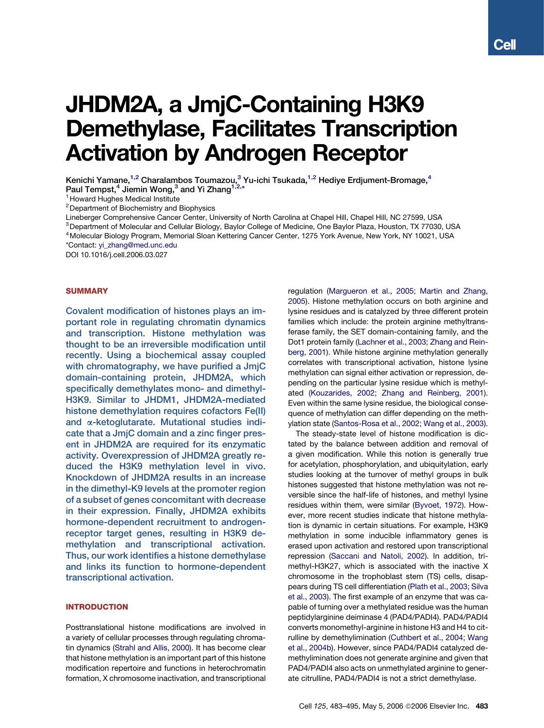# JHDM2A, a JmjC-Containing H3K9 Demethylase, Facilitates Transcription Activation by Androgen Receptor

Kenichi Yamane,<sup>1,2</sup> Charalambos Toumazou,<sup>3</sup> Yu-ichi Tsukada,<sup>1,2</sup> Hediye Erdjument-Bromage,<sup>4</sup> Paul Tempst,<sup>4</sup> Jiemin Wong,<sup>3</sup> and Yi Zhang<sup>1,2,\*</sup>

<sup>1</sup> Howard Hughes Medical Institute

2Department of Biochemistry and Biophysics

Lineberger Comprehensive Cancer Center, University of North Carolina at Chapel Hill, Chapel Hill, NC 27599, USA

3Department of Molecular and Cellular Biology, Baylor College of Medicine, One Baylor Plaza, Houston, TX 77030, USA 4Molecular Biology Program, Memorial Sloan Kettering Cancer Center, 1275 York Avenue, New York, NY 10021, USA

\*Contact: [yi\\_zhang@med.unc.edu](mailto:yi_zhang@med.unc.edu)

[DOI 10.1016/j.cell.2006.03.027](mailto:yi_zhang@med.unc.edu)

### **SUMMARY**

Covalent modification of histones plays an important role in regulating chromatin dynamics and transcription. Histone methylation was thought to be an irreversible modification until recently. Using a biochemical assay coupled with chromatography, we have purified a JmjC domain-containing protein, JHDM2A, which specifically demethylates mono- and dimethyl-H3K9. Similar to JHDM1, JHDM2A-mediated histone demethylation requires cofactors Fe(II) and *a*-ketoglutarate. Mutational studies indicate that a JmjC domain and a zinc finger present in JHDM2A are required for its enzymatic activity. Overexpression of JHDM2A greatly reduced the H3K9 methylation level in vivo. Knockdown of JHDM2A results in an increase in the dimethyl-K9 levels at the promoter region of a subset of genes concomitant with decrease in their expression. Finally, JHDM2A exhibits hormone-dependent recruitment to androgenreceptor target genes, resulting in H3K9 demethylation and transcriptional activation. Thus, our work identifies a histone demethylase and links its function to hormone-dependent transcriptional activation.

#### INTRODUCTION

Posttranslational histone modifications are involved in a variety of cellular processes through regulating chromatin dynamics ([Strahl and Allis, 2000\)](#page-12-0). It has become clear that histone methylation is an important part of this histone modification repertoire and functions in heterochromatin formation, X chromosome inactivation, and transcriptional regulation ([Margueron et al., 2005; Martin and Zhang,](#page-11-0) [2005\)](#page-11-0). Histone methylation occurs on both arginine and lysine residues and is catalyzed by three different protein families which include: the protein arginine methyltransferase family, the SET domain-containing family, and the Dot1 protein family ([Lachner et al., 2003; Zhang and Rein](#page-11-0)[berg, 2001\)](#page-11-0). While histone arginine methylation generally correlates with transcriptional activation, histone lysine methylation can signal either activation or repression, depending on the particular lysine residue which is methylated [\(Kouzarides, 2002; Zhang and Reinberg, 2001](#page-11-0)). Even within the same lysine residue, the biological consequence of methylation can differ depending on the methylation state [\(Santos-Rosa et al., 2002; Wang et al., 2003](#page-12-0)).

The steady-state level of histone modification is dictated by the balance between addition and removal of a given modification. While this notion is generally true for acetylation, phosphorylation, and ubiquitylation, early studies looking at the turnover of methyl groups in bulk histones suggested that histone methylation was not reversible since the half-life of histones, and methyl lysine residues within them, were similar [\(Byvoet, 1972\)](#page-11-0). However, more recent studies indicate that histone methylation is dynamic in certain situations. For example, H3K9 methylation in some inducible inflammatory genes is erased upon activation and restored upon transcriptional repression [\(Saccani and Natoli, 2002\)](#page-12-0). In addition, trimethyl-H3K27, which is associated with the inactive X chromosome in the trophoblast stem (TS) cells, disappears during TS cell differentiation [\(Plath et al., 2003; Silva](#page-11-0) [et al., 2003](#page-11-0)). The first example of an enzyme that was capable of turning over a methylated residue was the human peptidylarginine deiminase 4 (PAD4/PADI4). PAD4/PADI4 converts monomethyl-arginine in histone H3 and H4 to citrulline by demethylimination [\(Cuthbert et al., 2004; Wang](#page-11-0) [et al., 2004b](#page-11-0)). However, since PAD4/PADI4 catalyzed demethylimination does not generate arginine and given that PAD4/PADI4 also acts on unmethylated arginine to generate citrulline, PAD4/PADI4 is not a strict demethylase.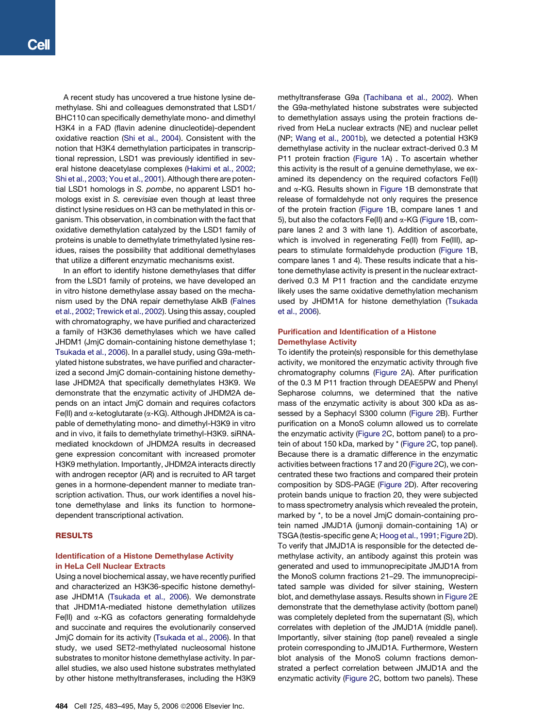A recent study has uncovered a true histone lysine demethylase. Shi and colleagues demonstrated that LSD1/ BHC110 can specifically demethylate mono- and dimethyl H3K4 in a FAD (flavin adenine dinucleotide)-dependent oxidative reaction [\(Shi et al., 2004](#page-12-0)). Consistent with the notion that H3K4 demethylation participates in transcriptional repression, LSD1 was previously identified in several histone deacetylase complexes [\(Hakimi et al., 2002;](#page-11-0) [Shi et al., 2003; You et al., 2001](#page-11-0)). Although there are potential LSD1 homologs in *S. pombe*, no apparent LSD1 homologs exist in *S. cerevisiae* even though at least three distinct lysine residues on H3 can be methylated in this organism. This observation, in combination with the fact that oxidative demethylation catalyzed by the LSD1 family of proteins is unable to demethylate trimethylated lysine residues, raises the possibility that additional demethylases that utilize a different enzymatic mechanisms exist.

In an effort to identify histone demethylases that differ from the LSD1 family of proteins, we have developed an in vitro histone demethylase assay based on the mechanism used by the DNA repair demethylase AlkB [\(Falnes](#page-11-0) [et al., 2002; Trewick et al., 2002\)](#page-11-0). Using this assay, coupled with chromatography, we have purified and characterized a family of H3K36 demethylases which we have called JHDM1 (JmjC domain-containing histone demethylase 1; [Tsukada et al., 2006](#page-12-0)). In a parallel study, using G9a-methylated histone substrates, we have purified and characterized a second JmjC domain-containing histone demethylase JHDM2A that specifically demethylates H3K9. We demonstrate that the enzymatic activity of JHDM2A depends on an intact JmjC domain and requires cofactors Fe(II) and  $\alpha$ -ketoglutarate ( $\alpha$ -KG). Although JHDM2A is capable of demethylating mono- and dimethyl-H3K9 in vitro and in vivo, it fails to demethylate trimethyl-H3K9. siRNAmediated knockdown of JHDM2A results in decreased gene expression concomitant with increased promoter H3K9 methylation. Importantly, JHDM2A interacts directly with androgen receptor (AR) and is recruited to AR target genes in a hormone-dependent manner to mediate transcription activation. Thus, our work identifies a novel histone demethylase and links its function to hormonedependent transcriptional activation.

#### RESULTS

## Identification of a Histone Demethylase Activity in HeLa Cell Nuclear Extracts

Using a novel biochemical assay, we have recently purified and characterized an H3K36-specific histone demethylase JHDM1A [\(Tsukada et al., 2006](#page-12-0)). We demonstrate that JHDM1A-mediated histone demethylation utilizes Fe(II) and  $\alpha$ -KG as cofactors generating formaldehyde and succinate and requires the evolutionarily conserved JmjC domain for its activity [\(Tsukada et al., 2006](#page-12-0)). In that study, we used SET2-methylated nucleosomal histone substrates to monitor histone demethylase activity. In parallel studies, we also used histone substrates methylated by other histone methyltransferases, including the H3K9

methyltransferase G9a [\(Tachibana et al., 2002](#page-12-0)). When the G9a-methylated histone substrates were subjected to demethylation assays using the protein fractions derived from HeLa nuclear extracts (NE) and nuclear pellet (NP; [Wang et al., 2001b](#page-12-0)), we detected a potential H3K9 demethylase activity in the nuclear extract-derived 0.3 M P11 protein fraction [\(Figure 1](#page-2-0)A) . To ascertain whether this activity is the result of a genuine demethylase, we examined its dependency on the required cofactors Fe(II) and  $\alpha$ -KG. Results shown in [Figure 1](#page-2-0)B demonstrate that release of formaldehyde not only requires the presence of the protein fraction [\(Figure 1](#page-2-0)B, compare lanes 1 and 5), but also the cofactors Fe(II) and  $\alpha$ -KG ([Figure 1](#page-2-0)B, compare lanes 2 and 3 with lane 1). Addition of ascorbate, which is involved in regenerating Fe(II) from Fe(III), appears to stimulate formaldehyde production [\(Figure 1B](#page-2-0), compare lanes 1 and 4). These results indicate that a histone demethylase activity is present in the nuclear extractderived 0.3 M P11 fraction and the candidate enzyme likely uses the same oxidative demethylation mechanism used by JHDM1A for histone demethylation ([Tsukada](#page-12-0) [et al., 2006\)](#page-12-0).

## Purification and Identification of a Histone Demethylase Activity

To identify the protein(s) responsible for this demethylase activity, we monitored the enzymatic activity through five chromatography columns ([Figure 2](#page-3-0)A). After purification of the 0.3 M P11 fraction through DEAE5PW and Phenyl Sepharose columns, we determined that the native mass of the enzymatic activity is about 300 kDa as assessed by a Sephacyl S300 column [\(Figure 2B](#page-3-0)). Further purification on a MonoS column allowed us to correlate the enzymatic activity [\(Figure 2C](#page-3-0), bottom panel) to a protein of about 150 kDa, marked by \* [\(Figure 2C](#page-3-0), top panel). Because there is a dramatic difference in the enzymatic activities between fractions 17 and 20 ([Figure 2C](#page-3-0)), we concentrated these two fractions and compared their protein composition by SDS-PAGE ([Figure 2D](#page-3-0)). After recovering protein bands unique to fraction 20, they were subjected to mass spectrometry analysis which revealed the protein, marked by \*, to be a novel JmjC domain-containing protein named JMJD1A (jumonji domain-containing 1A) or TSGA (testis-specific gene A; [Hoog et al., 1991](#page-11-0); [Figure 2](#page-3-0)D). To verify that JMJD1A is responsible for the detected demethylase activity, an antibody against this protein was generated and used to immunoprecipitate JMJD1A from the MonoS column fractions 21–29. The immunoprecipitated sample was divided for silver staining, Western blot, and demethylase assays. Results shown in [Figure 2E](#page-3-0) demonstrate that the demethylase activity (bottom panel) was completely depleted from the supernatant (S), which correlates with depletion of the JMJD1A (middle panel). Importantly, silver staining (top panel) revealed a single protein corresponding to JMJD1A. Furthermore, Western blot analysis of the MonoS column fractions demonstrated a perfect correlation between JMJD1A and the enzymatic activity [\(Figure 2C](#page-3-0), bottom two panels). These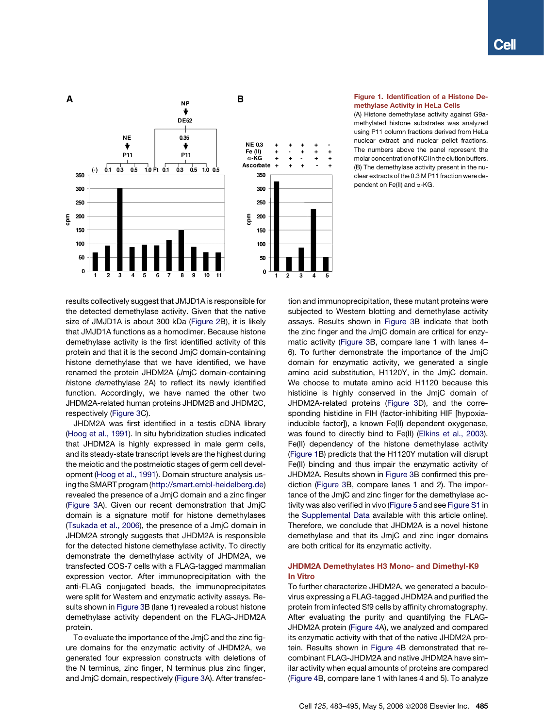<span id="page-2-0"></span>

## Figure 1. Identification of a Histone Demethylase Activity in HeLa Cells

(A) Histone demethylase activity against G9amethylated histone substrates was analyzed using P11 column fractions derived from HeLa nuclear extract and nuclear pellet fractions. The numbers above the panel represent the molar concentration of KCl in the elution buffers. (B) The demethylase activity present in the nuclear extracts of the 0.3 M P11 fraction were dependent on Fe(II) and  $\alpha$ -KG.

results collectively suggest that JMJD1A is responsible for the detected demethylase activity. Given that the native size of JMJD1A is about 300 kDa ([Figure 2B](#page-3-0)), it is likely that JMJD1A functions as a homodimer. Because histone demethylase activity is the first identified activity of this protein and that it is the second JmjC domain-containing histone demethylase that we have identified, we have renamed the protein JHDM2A (*J*mjC domain-containing *h*istone *d*e*m*ethylase 2A) to reflect its newly identified function. Accordingly, we have named the other two JHDM2A-related human proteins JHDM2B and JHDM2C, respectively ([Figure 3](#page-4-0)C).

JHDM2A was first identified in a testis cDNA library ([Hoog et al., 1991](#page-11-0)). In situ hybridization studies indicated that JHDM2A is highly expressed in male germ cells, and its steady-state transcript levels are the highest during the meiotic and the postmeiotic stages of germ cell development ([Hoog et al., 1991\)](#page-11-0). Domain structure analysis using the SMART program ([http://smart.embl-heidelberg.de\)](http://smart.embl-heidelberg.de) revealed the presence of a JmjC domain and a zinc finger ([Figure 3](#page-4-0)A). Given our recent demonstration that JmjC domain is a signature motif for histone demethylases ([Tsukada et al., 2006](#page-12-0)), the presence of a JmjC domain in JHDM2A strongly suggests that JHDM2A is responsible for the detected histone demethylase activity. To directly demonstrate the demethylase activity of JHDM2A, we transfected COS-7 cells with a FLAG-tagged mammalian expression vector. After immunoprecipitation with the anti-FLAG conjugated beads, the immunoprecipitates were split for Western and enzymatic activity assays. Results shown in [Figure 3B](#page-4-0) (lane 1) revealed a robust histone demethylase activity dependent on the FLAG-JHDM2A protein.

To evaluate the importance of the JmjC and the zinc figure domains for the enzymatic activity of JHDM2A, we generated four expression constructs with deletions of the N terminus, zinc finger, N terminus plus zinc finger, and JmjC domain, respectively [\(Figure 3](#page-4-0)A). After transfection and immunoprecipitation, these mutant proteins were subjected to Western blotting and demethylase activity assays. Results shown in [Figure 3B](#page-4-0) indicate that both the zinc finger and the JmjC domain are critical for enzymatic activity [\(Figure 3](#page-4-0)B, compare lane 1 with lanes 4– 6). To further demonstrate the importance of the JmjC domain for enzymatic activity, we generated a single amino acid substitution, H1120Y, in the JmjC domain. We choose to mutate amino acid H1120 because this histidine is highly conserved in the JmjC domain of JHDM2A-related proteins [\(Figure 3D](#page-4-0)), and the corresponding histidine in FIH (factor-inhibiting HIF [hypoxiainducible factor]), a known Fe(II) dependent oxygenase, was found to directly bind to Fe(II) ([Elkins et al., 2003](#page-11-0)). Fe(II) dependency of the histone demethylase activity (Figure 1B) predicts that the H1120Y mutation will disrupt Fe(II) binding and thus impair the enzymatic activity of JHDM2A. Results shown in [Figure 3](#page-4-0)B confirmed this prediction ([Figure 3B](#page-4-0), compare lanes 1 and 2). The importance of the JmjC and zinc finger for the demethylase activity was also verified in vivo [\(Figure 5](#page-6-0) and see [Figure S1](#page-11-0) in the [Supplemental Data](#page-11-0) available with this article online). Therefore, we conclude that JHDM2A is a novel histone demethylase and that its JmjC and zinc inger domains are both critical for its enzymatic activity.

# JHDM2A Demethylates H3 Mono- and Dimethyl-K9 In Vitro

To further characterize JHDM2A, we generated a baculovirus expressing a FLAG-tagged JHDM2A and purified the protein from infected Sf9 cells by affinity chromatography. After evaluating the purity and quantifying the FLAG-JHDM2A protein [\(Figure 4A](#page-5-0)), we analyzed and compared its enzymatic activity with that of the native JHDM2A protein. Results shown in [Figure 4B](#page-5-0) demonstrated that recombinant FLAG-JHDM2A and native JHDM2A have similar activity when equal amounts of proteins are compared [\(Figure 4](#page-5-0)B, compare lane 1 with lanes 4 and 5). To analyze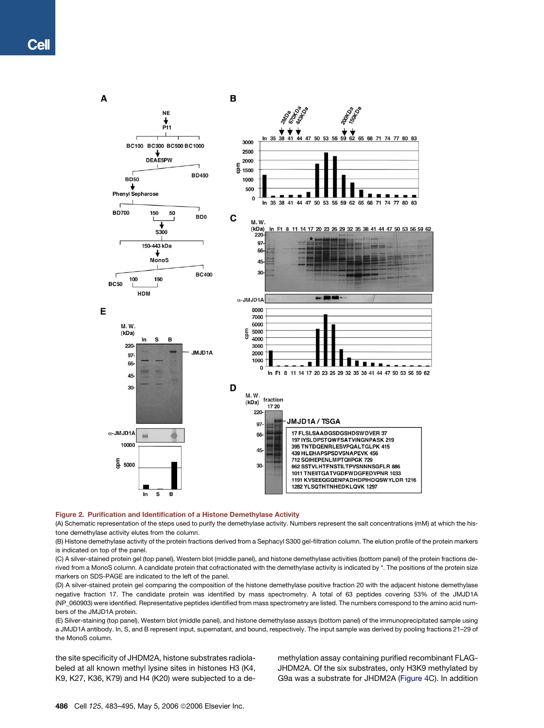<span id="page-3-0"></span>

#### Figure 2. Purification and Identification of a Histone Demethylase Activity

(A) Schematic representation of the steps used to purify the demethylase activity. Numbers represent the salt concentrations (mM) at which the histone demethylase activity elutes from the column.

(B) Histone demethylase activity of the protein fractions derived from a Sephacyl S300 gel-filtration column. The elution profile of the protein markers is indicated on top of the panel.

(C) A silver-stained protein gel (top panel), Western blot (middle panel), and histone demethylase activities (bottom panel) of the protein fractions derived from a MonoS column. A candidate protein that cofractionated with the demethylase activity is indicated by \*. The positions of the protein size markers on SDS-PAGE are indicated to the left of the panel.

(D) A silver-stained protein gel comparing the composition of the histone demethylase positive fraction 20 with the adjacent histone demethylase negative fraction 17. The candidate protein was identified by mass spectrometry. A total of 63 peptides covering 53% of the JMJD1A (NP\_060903) were identified. Representative peptides identified from mass spectrometry are listed. The numbers correspond to the amino acid numbers of the JMJD1A protein.

(E) Silver-staining (top panel), Western blot (middle panel), and histone demethylase assays (bottom panel) of the immunoprecipitated sample using a JMJD1A antibody. In, S, and B represent input, supernatant, and bound, respectively. The input sample was derived by pooling fractions 21–29 of the MonoS column.

the site specificity of JHDM2A, histone substrates radiolabeled at all known methyl lysine sites in histones H3 (K4, K9, K27, K36, K79) and H4 (K20) were subjected to a demethylation assay containing purified recombinant FLAG-JHDM2A. Of the six substrates, only H3K9 methylated by G9a was a substrate for JHDM2A ([Figure 4](#page-5-0)C). In addition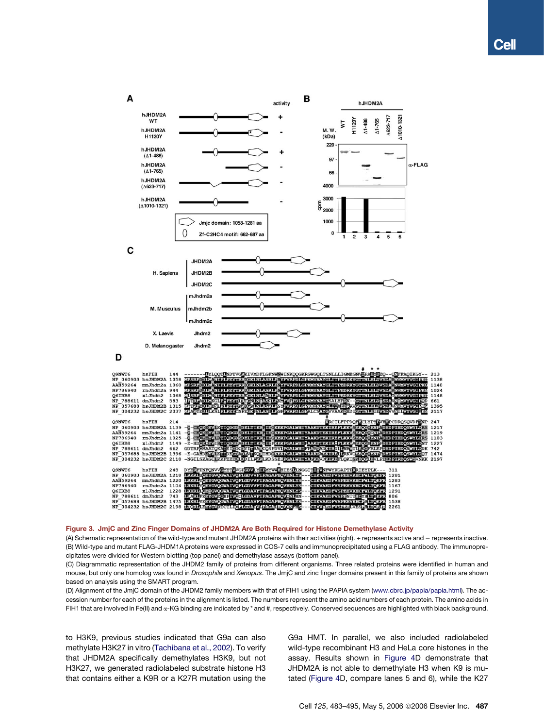<span id="page-4-0"></span>

#### Figure 3. JmjC and Zinc Finger Domains of JHDM2A Are Both Required for Histone Demethylase Activity

(A) Schematic representation of the wild-type and mutant JHDM2A proteins with their activities (right). + represents active and - represents inactive. (B) Wild-type and mutant FLAG-JHDM1A proteins were expressed in COS-7 cells and immunoprecipitated using a FLAG antibody. The immunoprecipitates were divided for Western blotting (top panel) and demethylase assays (bottom panel).

(C) Diagrammatic representation of the JHDM2 family of proteins from different organisms. Three related proteins were identified in human and mouse, but only one homolog was found in *Drosophila* and *Xenopus*. The JmjC and zinc finger domains present in this family of proteins are shown based on analysis using the SMART program.

(D) Alignment of the JmjC domain of the JHDM2 family members with that of FIH1 using the PAPIA system [\(www.cbrc.jp/papia/papia.html\)](http://www.cbrc.jp/papia/papia.html). The accession number for each of the proteins in the alignment is listed. The numbers represent the amino acid numbers of each protein. The amino acids in FIH1 that are involved in Fe(II) and  $\alpha$ -KG binding are indicated by \* and #, respectively. Conserved sequences are highlighted with black background.

to H3K9, previous studies indicated that G9a can also methylate H3K27 in vitro ([Tachibana et al., 2002\)](#page-12-0). To verify that JHDM2A specifically demethylates H3K9, but not H3K27, we generated radiolabeled substrate histone H3 that contains either a K9R or a K27R mutation using the G9a HMT. In parallel, we also included radiolabeled wild-type recombinant H3 and HeLa core histones in the assay. Results shown in [Figure 4D](#page-5-0) demonstrate that JHDM2A is not able to demethylate H3 when K9 is mutated [\(Figure 4D](#page-5-0), compare lanes 5 and 6), while the K27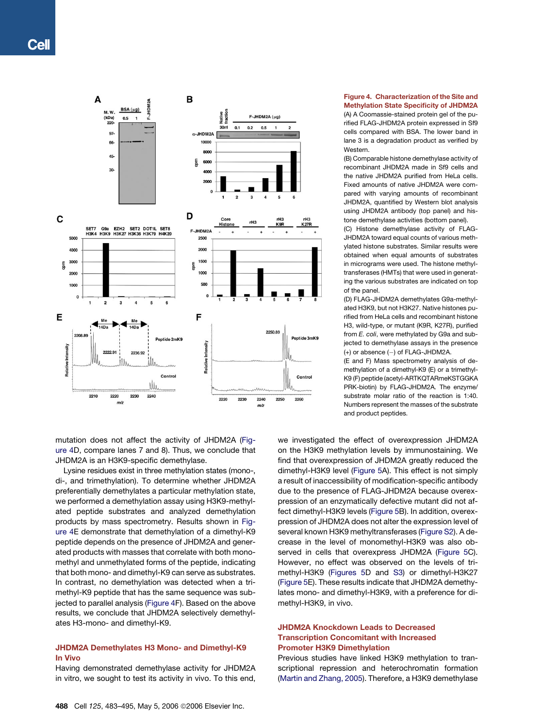<span id="page-5-0"></span>

mutation does not affect the activity of JHDM2A (Figure 4D, compare lanes 7 and 8). Thus, we conclude that JHDM2A is an H3K9-specific demethylase.

Lysine residues exist in three methylation states (mono-, di-, and trimethylation). To determine whether JHDM2A preferentially demethylates a particular methylation state, we performed a demethylation assay using H3K9-methylated peptide substrates and analyzed demethylation products by mass spectrometry. Results shown in Figure 4E demonstrate that demethylation of a dimethyl-K9 peptide depends on the presence of JHDM2A and generated products with masses that correlate with both monomethyl and unmethylated forms of the peptide, indicating that both mono- and dimethyl-K9 can serve as substrates. In contrast, no demethylation was detected when a trimethyl-K9 peptide that has the same sequence was subjected to parallel analysis (Figure 4F). Based on the above results, we conclude that JHDM2A selectively demethylates H3-mono- and dimethyl-K9.

# JHDM2A Demethylates H3 Mono- and Dimethyl-K9 In Vivo

Having demonstrated demethylase activity for JHDM2A in vitro, we sought to test its activity in vivo. To this end,

# Figure 4. Characterization of the Site and Methylation State Specificity of JHDM2A

(A) A Coomassie-stained protein gel of the purified FLAG-JHDM2A protein expressed in Sf9 cells compared with BSA. The lower band in lane 3 is a degradation product as verified by Western.

(B) Comparable histone demethylase activity of recombinant JHDM2A made in Sf9 cells and the native JHDM2A purified from HeLa cells. Fixed amounts of native JHDM2A were compared with varying amounts of recombinant JHDM2A, quantified by Western blot analysis using JHDM2A antibody (top panel) and histone demethylase activities (bottom panel).

(C) Histone demethylase activity of FLAG-JHDM2A toward equal counts of various methylated histone substrates. Similar results were obtained when equal amounts of substrates in micrograms were used. The histone methyltransferases (HMTs) that were used in generating the various substrates are indicated on top of the panel.

(D) FLAG-JHDM2A demethylates G9a-methylated H3K9, but not H3K27. Native histones purified from HeLa cells and recombinant histone H3, wild-type, or mutant (K9R, K27R), purified from *E. coli*, were methylated by G9a and subjected to demethylase assays in the presence  $(+)$  or absence  $(-)$  of FLAG-JHDM2A.

(E and F) Mass spectrometry analysis of demethylation of a dimethyl-K9 (E) or a trimethyl-K9 (F) peptide (acetyl-ARTKQTARmeKSTGGKA PRK-biotin) by FLAG-JHDM2A. The enzyme/ substrate molar ratio of the reaction is 1:40. Numbers represent the masses of the substrate and product peptides.

we investigated the effect of overexpression JHDM2A on the H3K9 methylation levels by immunostaining. We find that overexpression of JHDM2A greatly reduced the dimethyl-H3K9 level ([Figure 5A](#page-6-0)). This effect is not simply a result of inaccessibility of modification-specific antibody due to the presence of FLAG-JHDM2A because overexpression of an enzymatically defective mutant did not affect dimethyl-H3K9 levels ([Figure 5](#page-6-0)B). In addition, overexpression of JHDM2A does not alter the expression level of several known H3K9 methyltransferases [\(Figure S2\)](#page-11-0). A decrease in the level of monomethyl-H3K9 was also observed in cells that overexpress JHDM2A ([Figure 5](#page-6-0)C). However, no effect was observed on the levels of trimethyl-H3K9 ([Figures 5D](#page-6-0) and [S3](#page-11-0)) or dimethyl-H3K27 [\(Figure 5](#page-6-0)E). These results indicate that JHDM2A demethylates mono- and dimethyl-H3K9, with a preference for dimethyl-H3K9, in vivo.

## JHDM2A Knockdown Leads to Decreased Transcription Concomitant with Increased Promoter H3K9 Dimethylation

Previous studies have linked H3K9 methylation to transcriptional repression and heterochromatin formation [\(Martin and Zhang, 2005\)](#page-11-0). Therefore, a H3K9 demethylase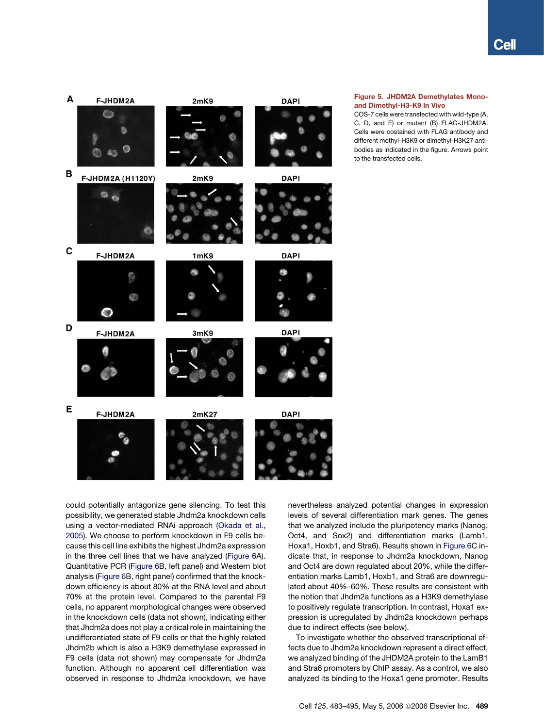<span id="page-6-0"></span>

Figure 5. JHDM2A Demethylates Monoand Dimethyl-H3-K9 In Vivo

COS-7 cells were transfected with wild-type (A, C, D, and E) or mutant (B) FLAG-JHDM2A. Cells were costained with FLAG antibody and different methyl-H3K9 or dimethyl-H3K27 antibodies as indicated in the figure. Arrows point to the transfected cells.

could potentially antagonize gene silencing. To test this possibility, we generated stable Jhdm2a knockdown cells using a vector-mediated RNAi approach ([Okada et al.,](#page-11-0) [2005](#page-11-0)). We choose to perform knockdown in F9 cells because this cell line exhibits the highest Jhdm2a expression in the three cell lines that we have analyzed ([Figure 6A](#page-7-0)). Quantitative PCR ([Figure 6](#page-7-0)B, left panel) and Western blot analysis [\(Figure 6](#page-7-0)B, right panel) confirmed that the knockdown efficiency is about 80% at the RNA level and about 70% at the protein level. Compared to the parental F9 cells, no apparent morphological changes were observed in the knockdown cells (data not shown), indicating either that Jhdm2a does not play a critical role in maintaining the undifferentiated state of F9 cells or that the highly related Jhdm2b which is also a H3K9 demethylase expressed in F9 cells (data not shown) may compensate for Jhdm2a function. Although no apparent cell differentiation was observed in response to Jhdm2a knockdown, we have

nevertheless analyzed potential changes in expression levels of several differentiation mark genes. The genes that we analyzed include the pluripotency marks (Nanog, Oct4, and Sox2) and differentiation marks (Lamb1, Hoxa1, Hoxb1, and Stra6). Results shown in [Figure 6](#page-7-0)C indicate that, in response to Jhdm2a knockdown, Nanog and Oct4 are down regulated about 20%, while the differentiation marks Lamb1, Hoxb1, and Stra6 are downregulated about 40%–60%. These results are consistent with the notion that Jhdm2a functions as a H3K9 demethylase to positively regulate transcription. In contrast, Hoxa1 expression is upregulated by Jhdm2a knockdown perhaps due to indirect effects (see below).

To investigate whether the observed transcriptional effects due to Jhdm2a knockdown represent a direct effect, we analyzed binding of the JHDM2A protein to the LamB1 and Stra6 promoters by ChIP assay. As a control, we also analyzed its binding to the Hoxa1 gene promoter. Results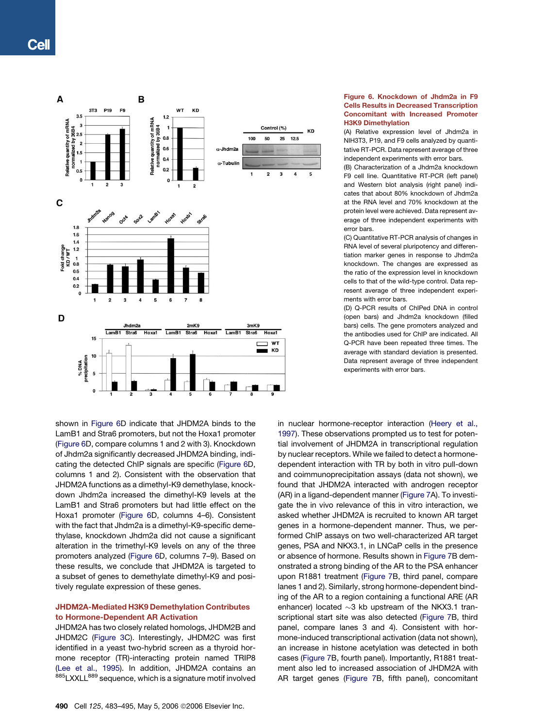<span id="page-7-0"></span>

### Figure 6. Knockdown of Jhdm2a in F9 Cells Results in Decreased Transcription Concomitant with Increased Promoter H3K9 Dimethylation

(A) Relative expression level of Jhdm2a in NIH3T3, P19, and F9 cells analyzed by quantitative RT-PCR. Data represent average of three independent experiments with error bars.

(B) Characterization of a Jhdm2a knockdown F9 cell line. Quantitative RT-PCR (left panel) and Western blot analysis (right panel) indicates that about 80% knockdown of Jhdm2a at the RNA level and 70% knockdown at the protein level were achieved. Data represent average of three independent experiments with error bars.

(C) Quantitative RT-PCR analysis of changes in RNA level of several pluripotency and differentiation marker genes in response to Jhdm2a knockdown. The changes are expressed as the ratio of the expression level in knockdown cells to that of the wild-type control. Data represent average of three independent experiments with error bars.

(D) Q-PCR results of ChIPed DNA in control (open bars) and Jhdm2a knockdown (filled bars) cells. The gene promoters analyzed and the antibodies used for ChIP are indicated. All Q-PCR have been repeated three times. The average with standard deviation is presented. Data represent average of three independent experiments with error bars.

shown in Figure 6D indicate that JHDM2A binds to the LamB1 and Stra6 promoters, but not the Hoxa1 promoter (Figure 6D, compare columns 1 and 2 with 3). Knockdown of Jhdm2a significantly decreased JHDM2A binding, indicating the detected ChIP signals are specific (Figure 6D, columns 1 and 2). Consistent with the observation that JHDM2A functions as a dimethyl-K9 demethylase, knockdown Jhdm2a increased the dimethyl-K9 levels at the LamB1 and Stra6 promoters but had little effect on the Hoxa1 promoter (Figure 6D, columns 4–6). Consistent with the fact that Jhdm2a is a dimethyl-K9-specific demethylase, knockdown Jhdm2a did not cause a significant alteration in the trimethyl-K9 levels on any of the three promoters analyzed (Figure 6D, columns 7–9). Based on these results, we conclude that JHDM2A is targeted to a subset of genes to demethylate dimethyl-K9 and positively regulate expression of these genes.

# JHDM2A-Mediated H3K9 Demethylation Contributes to Hormone-Dependent AR Activation

JHDM2A has two closely related homologs, JHDM2B and JHDM2C [\(Figure 3C](#page-4-0)). Interestingly, JHDM2C was first identified in a yeast two-hybrid screen as a thyroid hormone receptor (TR)-interacting protein named TRIP8 ([Lee et al., 1995\)](#page-11-0). In addition, JHDM2A contains an 885LXXLL<sup>889</sup> sequence, which is a signature motif involved

490 Cell 125, 483-495, May 5, 2006 ©2006 Elsevier Inc.

in nuclear hormone-receptor interaction ([Heery et al.,](#page-11-0) [1997\)](#page-11-0). These observations prompted us to test for potential involvement of JHDM2A in transcriptional regulation by nuclear receptors. While we failed to detect a hormonedependent interaction with TR by both in vitro pull-down and coimmunoprecipitation assays (data not shown), we found that JHDM2A interacted with androgen receptor (AR) in a ligand-dependent manner ([Figure 7](#page-8-0)A). To investigate the in vivo relevance of this in vitro interaction, we asked whether JHDM2A is recruited to known AR target genes in a hormone-dependent manner. Thus, we performed ChIP assays on two well-characterized AR target genes, PSA and NKX3.1, in LNCaP cells in the presence or absence of hormone. Results shown in [Figure 7](#page-8-0)B demonstrated a strong binding of the AR to the PSA enhancer upon R1881 treatment ([Figure 7](#page-8-0)B, third panel, compare lanes 1 and 2). Similarly, strong hormone-dependent binding of the AR to a region containing a functional ARE (AR enhancer) located  ${\sim}3$  kb upstream of the NKX3.1 transcriptional start site was also detected [\(Figure 7B](#page-8-0), third panel, compare lanes 3 and 4). Consistent with hormone-induced transcriptional activation (data not shown), an increase in histone acetylation was detected in both cases ([Figure 7](#page-8-0)B, fourth panel). Importantly, R1881 treatment also led to increased association of JHDM2A with AR target genes ([Figure 7B](#page-8-0), fifth panel), concomitant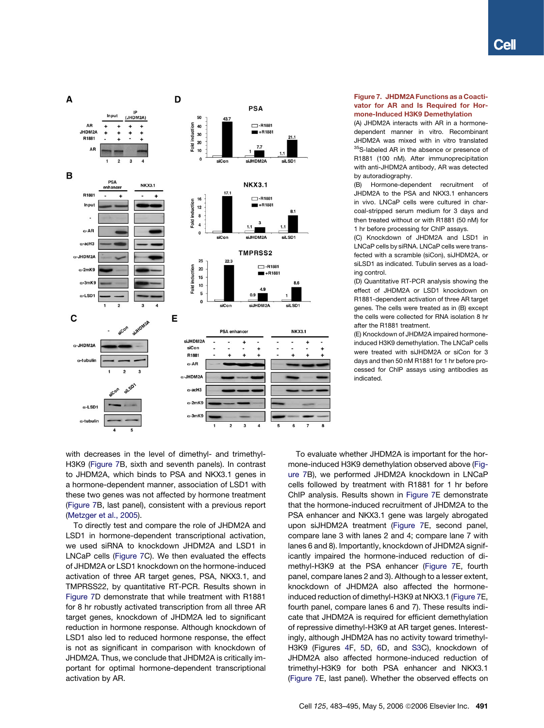<span id="page-8-0"></span>

## Figure 7. JHDM2A Functions as a Coactivator for AR and Is Required for Hormone-Induced H3K9 Demethylation

(A) JHDM2A interacts with AR in a hormonedependent manner in vitro. Recombinant JHDM2A was mixed with in vitro translated 35S-labeled AR in the absence or presence of R1881 (100 nM). After immunoprecipitation with anti-JHDM2A antibody, AR was detected by autoradiography.

(B) Hormone-dependent recruitment of JHDM2A to the PSA and NKX3.1 enhancers in vivo. LNCaP cells were cultured in charcoal-stripped serum medium for 3 days and then treated without or with R1881 (50 nM) for 1 hr before processing for ChIP assays.

(C) Knockdown of JHDM2A and LSD1 in LNCaP cells by siRNA. LNCaP cells were transfected with a scramble (siCon), siJHDM2A, or siLSD1 as indicated. Tubulin serves as a loading control.

(D) Quantitative RT-PCR analysis showing the effect of JHDM2A or LSD1 knockdown on R1881-dependent activation of three AR target genes. The cells were treated as in (B) except the cells were collected for RNA isolation 8 hr after the R1881 treatment.

(E) Knockdown of JHDM2A impaired hormoneinduced H3K9 demethylation. The LNCaP cells were treated with siJHDM2A or siCon for 3 days and then 50 nM R1881 for 1 hr before processed for ChIP assays using antibodies as indicated.

with decreases in the level of dimethyl- and trimethyl-H3K9 (Figure 7B, sixth and seventh panels). In contrast to JHDM2A, which binds to PSA and NKX3.1 genes in a hormone-dependent manner, association of LSD1 with these two genes was not affected by hormone treatment (Figure 7B, last panel), consistent with a previous report ([Metzger et al., 2005](#page-11-0)).

To directly test and compare the role of JHDM2A and LSD1 in hormone-dependent transcriptional activation, we used siRNA to knockdown JHDM2A and LSD1 in LNCaP cells (Figure 7C). We then evaluated the effects of JHDM2A or LSD1 knockdown on the hormone-induced activation of three AR target genes, PSA, NKX3.1, and TMPRSS22, by quantitative RT-PCR. Results shown in Figure 7D demonstrate that while treatment with R1881 for 8 hr robustly activated transcription from all three AR target genes, knockdown of JHDM2A led to significant reduction in hormone response. Although knockdown of LSD1 also led to reduced hormone response, the effect is not as significant in comparison with knockdown of JHDM2A. Thus, we conclude that JHDM2A is critically important for optimal hormone-dependent transcriptional activation by AR.

To evaluate whether JHDM2A is important for the hormone-induced H3K9 demethylation observed above (Figure 7B), we performed JHDM2A knockdown in LNCaP cells followed by treatment with R1881 for 1 hr before ChIP analysis. Results shown in Figure 7E demonstrate that the hormone-induced recruitment of JHDM2A to the PSA enhancer and NKX3.1 gene was largely abrogated upon siJHDM2A treatment (Figure 7E, second panel, compare lane 3 with lanes 2 and 4; compare lane 7 with lanes 6 and 8). Importantly, knockdown of JHDM2A significantly impaired the hormone-induced reduction of dimethyl-H3K9 at the PSA enhancer (Figure 7E, fourth panel, compare lanes 2 and 3). Although to a lesser extent, knockdown of JHDM2A also affected the hormoneinduced reduction of dimethyl-H3K9 at NKX3.1 (Figure 7E, fourth panel, compare lanes 6 and 7). These results indicate that JHDM2A is required for efficient demethylation of repressive dimethyl-H3K9 at AR target genes. Interestingly, although JHDM2A has no activity toward trimethyl-H3K9 (Figures [4F](#page-5-0), [5](#page-6-0)D, [6](#page-7-0)D, and [S3](#page-11-0)C), knockdown of JHDM2A also affected hormone-induced reduction of trimethyl-H3K9 for both PSA enhancer and NKX3.1 (Figure 7E, last panel). Whether the observed effects on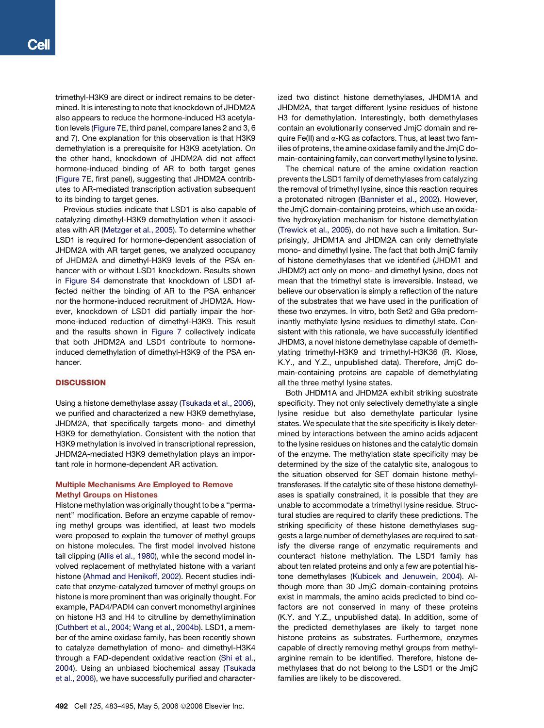trimethyl-H3K9 are direct or indirect remains to be determined. It is interesting to note that knockdown of JHDM2A also appears to reduce the hormone-induced H3 acetylation levels ([Figure 7](#page-8-0)E, third panel, compare lanes 2 and 3, 6 and 7). One explanation for this observation is that H3K9 demethylation is a prerequisite for H3K9 acetylation. On the other hand, knockdown of JHDM2A did not affect hormone-induced binding of AR to both target genes ([Figure 7E](#page-8-0), first panel), suggesting that JHDM2A contributes to AR-mediated transcription activation subsequent to its binding to target genes.

Previous studies indicate that LSD1 is also capable of catalyzing dimethyl-H3K9 demethylation when it associates with AR [\(Metzger et al., 2005\)](#page-11-0). To determine whether LSD1 is required for hormone-dependent association of JHDM2A with AR target genes, we analyzed occupancy of JHDM2A and dimethyl-H3K9 levels of the PSA enhancer with or without LSD1 knockdown. Results shown in [Figure S4](#page-11-0) demonstrate that knockdown of LSD1 affected neither the binding of AR to the PSA enhancer nor the hormone-induced recruitment of JHDM2A. However, knockdown of LSD1 did partially impair the hormone-induced reduction of dimethyl-H3K9. This result and the results shown in [Figure 7](#page-8-0) collectively indicate that both JHDM2A and LSD1 contribute to hormoneinduced demethylation of dimethyl-H3K9 of the PSA enhancer.

## **DISCUSSION**

Using a histone demethylase assay [\(Tsukada et al., 2006](#page-12-0)), we purified and characterized a new H3K9 demethylase, JHDM2A, that specifically targets mono- and dimethyl H3K9 for demethylation. Consistent with the notion that H3K9 methylation is involved in transcriptional repression, JHDM2A-mediated H3K9 demethylation plays an important role in hormone-dependent AR activation.

## Multiple Mechanisms Are Employed to Remove Methyl Groups on Histones

Histone methylation was originally thought to be a ''permanent'' modification. Before an enzyme capable of removing methyl groups was identified, at least two models were proposed to explain the turnover of methyl groups on histone molecules. The first model involved histone tail clipping [\(Allis et al., 1980](#page-11-0)), while the second model involved replacement of methylated histone with a variant histone ([Ahmad and Henikoff, 2002\)](#page-11-0). Recent studies indicate that enzyme-catalyzed turnover of methyl groups on histone is more prominent than was originally thought. For example, PAD4/PADI4 can convert monomethyl arginines on histone H3 and H4 to citrulline by demethylimination ([Cuthbert et al., 2004; Wang et al., 2004b\)](#page-11-0). LSD1, a member of the amine oxidase family, has been recently shown to catalyze demethylation of mono- and dimethyl-H3K4 through a FAD-dependent oxidative reaction ([Shi et al.,](#page-12-0) [2004](#page-12-0)). Using an unbiased biochemical assay ([Tsukada](#page-12-0) [et al., 2006\)](#page-12-0), we have successfully purified and characterized two distinct histone demethylases, JHDM1A and JHDM2A, that target different lysine residues of histone H3 for demethylation. Interestingly, both demethylases contain an evolutionarily conserved JmjC domain and require Fe(II) and  $\alpha$ -KG as cofactors. Thus, at least two families of proteins, the amine oxidase family and the JmjC domain-containing family, can convert methyl lysine to lysine.

The chemical nature of the amine oxidation reaction prevents the LSD1 family of demethylases from catalyzing the removal of trimethyl lysine, since this reaction requires a protonated nitrogen ([Bannister et al., 2002](#page-11-0)). However, the JmjC domain-containing proteins, which use an oxidative hydroxylation mechanism for histone demethylation [\(Trewick et al., 2005\)](#page-12-0), do not have such a limitation. Surprisingly, JHDM1A and JHDM2A can only demethylate mono- and dimethyl lysine. The fact that both JmjC family of histone demethylases that we identified (JHDM1 and JHDM2) act only on mono- and dimethyl lysine, does not mean that the trimethyl state is irreversible. Instead, we believe our observation is simply a reflection of the nature of the substrates that we have used in the purification of these two enzymes. In vitro, both Set2 and G9a predominantly methylate lysine residues to dimethyl state. Consistent with this rationale, we have successfully identified JHDM3, a novel histone demethylase capable of demethylating trimethyl-H3K9 and trimethyl-H3K36 (R. Klose, K.Y., and Y.Z., unpublished data). Therefore, JmjC domain-containing proteins are capable of demethylating all the three methyl lysine states.

Both JHDM1A and JHDM2A exhibit striking substrate specificity. They not only selectively demethylate a single lysine residue but also demethylate particular lysine states. We speculate that the site specificity is likely determined by interactions between the amino acids adjacent to the lysine residues on histones and the catalytic domain of the enzyme. The methylation state specificity may be determined by the size of the catalytic site, analogous to the situation observed for SET domain histone methyltransferases. If the catalytic site of these histone demethylases is spatially constrained, it is possible that they are unable to accommodate a trimethyl lysine residue. Structural studies are required to clarify these predictions. The striking specificity of these histone demethylases suggests a large number of demethylases are required to satisfy the diverse range of enzymatic requirements and counteract histone methylation. The LSD1 family has about ten related proteins and only a few are potential histone demethylases [\(Kubicek and Jenuwein, 2004](#page-11-0)). Although more than 30 JmjC domain-containing proteins exist in mammals, the amino acids predicted to bind cofactors are not conserved in many of these proteins (K.Y. and Y.Z., unpublished data). In addition, some of the predicted demethylases are likely to target none histone proteins as substrates. Furthermore, enzymes capable of directly removing methyl groups from methylarginine remain to be identified. Therefore, histone demethylases that do not belong to the LSD1 or the JmjC families are likely to be discovered.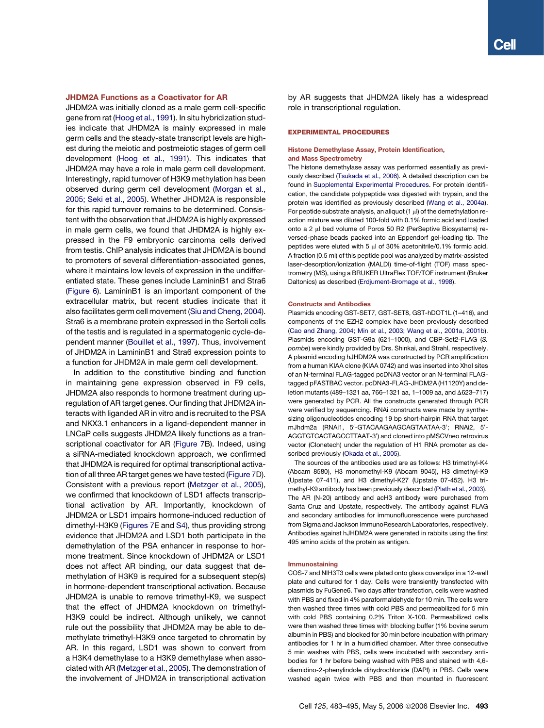## JHDM2A Functions as a Coactivator for AR

JHDM2A was initially cloned as a male germ cell-specific gene from rat ([Hoog et al., 1991\)](#page-11-0). In situ hybridization studies indicate that JHDM2A is mainly expressed in male germ cells and the steady-state transcript levels are highest during the meiotic and postmeiotic stages of germ cell development ([Hoog et al., 1991](#page-11-0)). This indicates that JHDM2A may have a role in male germ cell development. Interestingly, rapid turnover of H3K9 methylation has been observed during germ cell development [\(Morgan et al.,](#page-11-0) [2005; Seki et al., 2005](#page-11-0)). Whether JHDM2A is responsible for this rapid turnover remains to be determined. Consistent with the observation that JHDM2A is highly expressed in male germ cells, we found that JHDM2A is highly expressed in the F9 embryonic carcinoma cells derived from testis. ChIP analysis indicates that JHDM2A is bound to promoters of several differentiation-associated genes, where it maintains low levels of expression in the undifferentiated state. These genes include LamininB1 and Stra6 ([Figure 6](#page-7-0)). LamininB1 is an important component of the extracellular matrix, but recent studies indicate that it also facilitates germ cell movement [\(Siu and Cheng, 2004](#page-12-0)). Stra6 is a membrane protein expressed in the Sertoli cells of the testis and is regulated in a spermatogenic cycle-dependent manner ([Bouillet et al., 1997](#page-11-0)). Thus, involvement of JHDM2A in LamininB1 and Stra6 expression points to a function for JHDM2A in male germ cell development.

In addition to the constitutive binding and function in maintaining gene expression observed in F9 cells, JHDM2A also responds to hormone treatment during upregulation of AR target genes. Our finding that JHDM2A interacts with liganded AR in vitro and is recruited to the PSA and NKX3.1 enhancers in a ligand-dependent manner in LNCaP cells suggests JHDM2A likely functions as a transcriptional coactivator for AR ([Figure 7](#page-8-0)B). Indeed, using a siRNA-mediated knockdown approach, we confirmed that JHDM2A is required for optimal transcriptional activation of all three AR target genes we have tested ([Figure 7](#page-8-0)D). Consistent with a previous report [\(Metzger et al., 2005](#page-11-0)), we confirmed that knockdown of LSD1 affects transcriptional activation by AR. Importantly, knockdown of JHDM2A or LSD1 impairs hormone-induced reduction of dimethyl-H3K9 [\(Figures 7E](#page-8-0) and [S4\)](#page-11-0), thus providing strong evidence that JHDM2A and LSD1 both participate in the demethylation of the PSA enhancer in response to hormone treatment. Since knockdown of JHDM2A or LSD1 does not affect AR binding, our data suggest that demethylation of H3K9 is required for a subsequent step(s) in hormone-dependent transcriptional activation. Because JHDM2A is unable to remove trimethyl-K9, we suspect that the effect of JHDM2A knockdown on trimethyl-H3K9 could be indirect. Although unlikely, we cannot rule out the possibility that JHDM2A may be able to demethylate trimethyl-H3K9 once targeted to chromatin by AR. In this regard, LSD1 was shown to convert from a H3K4 demethylase to a H3K9 demethylase when associated with AR ([Metzger et al., 2005\)](#page-11-0). The demonstration of the involvement of JHDM2A in transcriptional activation

by AR suggests that JHDM2A likely has a widespread role in transcriptional regulation.

#### EXPERIMENTAL PROCEDURES

#### Histone Demethylase Assay, Protein Identification, and Mass Spectrometry

The histone demethylase assay was performed essentially as previously described [\(Tsukada et al., 2006](#page-12-0)). A detailed description can be found in [Supplemental Experimental Procedures](#page-11-0). For protein identification, the candidate polypeptide was digested with trypsin, and the protein was identified as previously described ([Wang et al., 2004a](#page-12-0)). For peptide substrate analysis, an aliquot  $(1 \mu)$  of the demethylation reaction mixture was diluted 100-fold with 0.1% formic acid and loaded onto a 2 µl bed volume of Poros 50 R2 (PerSeptive Biosystems) reversed-phase beads packed into an Eppendorf gel-loading tip. The peptides were eluted with 5  $\mu$ l of 30% acetonitrile/0.1% formic acid. A fraction (0.5 ml) of this peptide pool was analyzed by matrix-assisted laser-desorption/ionization (MALDI) time-of-flight (TOF) mass spectrometry (MS), using a BRUKER UltraFlex TOF/TOF instrument (Bruker Daltonics) as described ([Erdjument-Bromage et al., 1998\)](#page-11-0).

#### Constructs and Antibodies

Plasmids encoding GST-SET7, GST-SET8, GST-hDOT1L (1–416), and components of the EZH2 complex have been previously described ([Cao and Zhang, 2004; Min et al., 2003; Wang et al., 2001a, 2001b](#page-11-0)). Plasmids encoding GST-G9a (621–1000), and CBP-Set2-FLAG (*S. pombe*) were kindly provided by Drs. Shinkai, and Strahl, respectively. A plasmid encoding hJHDM2A was constructed by PCR amplification from a human KIAA clone (KIAA 0742) and was inserted into Xhol sites of an N-terminal FLAG-tagged pcDNA3 vector or an N-terminal FLAGtagged pFASTBAC vector. pcDNA3-FLAG-JHDM2A (H1120Y) and deletion mutants (489-1321 aa, 766-1321 aa, 1-1009 aa, and  $\Delta$ 623-717) were generated by PCR. All the constructs generated through PCR were verified by sequencing. RNAi constructs were made by synthesizing oligonucleotides encoding 19 bp short-hairpin RNA that target mJhdm2a (RNAi1, 5'-GTACAAGAAGCAGTAATAA-3'; RNAi2, 5'-AGGTGTCACTAGCCTTAAT-3') and cloned into pMSCVneo retrovirus vector (Clonetech) under the regulation of H1 RNA promoter as described previously [\(Okada et al., 2005\)](#page-11-0).

The sources of the antibodies used are as follows: H3 trimethyl-K4 (Abcam 8580), H3 monomethyl-K9 (Abcam 9045), H3 dimethyl-K9 (Upstate 07-411), and H3 dimethyl-K27 (Upstate 07-452). H3 trimethyl-K9 antibody has been previously described ([Plath et al., 2003\)](#page-11-0). The AR (N-20) antibody and acH3 antibody were purchased from Santa Cruz and Upstate, respectively. The antibody against FLAG and secondary antibodies for immunofluorescence were purchased from Sigma and Jackson ImmunoResearch Laboratories, respectively. Antibodies against hJHDM2A were generated in rabbits using the first 495 amino acids of the protein as antigen.

#### Immunostaining

COS-7 and NIH3T3 cells were plated onto glass coverslips in a 12-well plate and cultured for 1 day. Cells were transiently transfected with plasmids by FuGene6. Two days after transfection, cells were washed with PBS and fixed in 4% paraformaldehyde for 10 min. The cells were then washed three times with cold PBS and permeabilized for 5 min with cold PBS containing 0.2% Triton X-100. Permeabilized cells were then washed three times with blocking buffer (1% bovine serum albumin in PBS) and blocked for 30 min before incubation with primary antibodies for 1 hr in a humidified chamber. After three consecutive 5 min washes with PBS, cells were incubated with secondary antibodies for 1 hr before being washed with PBS and stained with 4,6 diamidino-2-phenylindole dihydrochloride (DAPI) in PBS. Cells were washed again twice with PBS and then mounted in fluorescent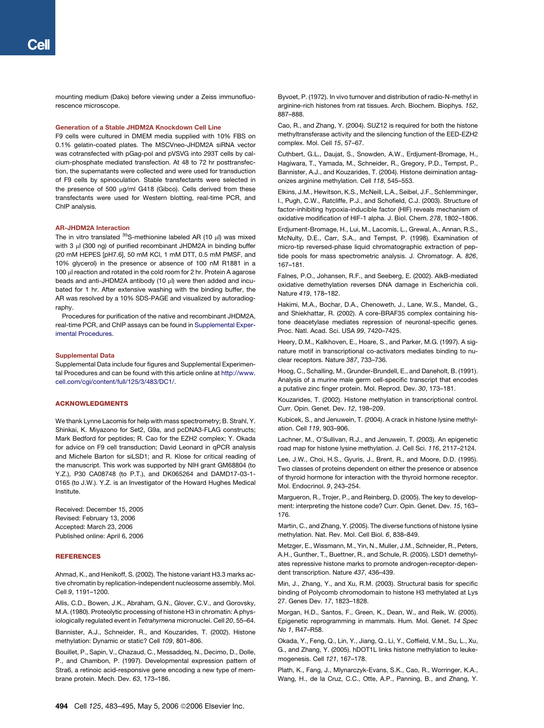<span id="page-11-0"></span>mounting medium (Dako) before viewing under a Zeiss immunofluorescence microscope.

#### Generation of a Stable JHDM2A Knockdown Cell Line

F9 cells were cultured in DMEM media supplied with 10% FBS on 0.1% gelatin-coated plates. The MSCVneo-JHDM2A siRNA vector was cotransfected with pGag-pol and pVSVG into 293T cells by calcium-phosphate mediated transfection. At 48 to 72 hr posttransfection, the supernatants were collected and were used for transduction of F9 cells by spinoculation. Stable transfectants were selected in the presence of 500 µg/ml G418 (Gibco). Cells derived from these transfectants were used for Western blotting, real-time PCR, and ChIP analysis.

#### AR-JHDM2A Interaction

The in vitro translated  $35S$ -methionine labeled AR (10  $\mu$ l) was mixed with 3 µl (300 ng) of purified recombinant JHDM2A in binding buffer (20 mM HEPES [pH7.6], 50 mM KCl, 1 mM DTT, 0.5 mM PMSF, and 10% glycerol) in the presence or absence of 100 nM R1881 in a 100 µl reaction and rotated in the cold room for 2 hr. Protein A agarose beads and anti-JHDM2A antibody (10 µl) were then added and incubated for 1 hr. After extensive washing with the binding buffer, the AR was resolved by a 10% SDS-PAGE and visualized by autoradiography.

Procedures for purification of the native and recombinant JHDM2A, real-time PCR, and ChIP assays can be found in Supplemental Experimental Procedures.

#### Supplemental Data

Supplemental Data include four figures and Supplemental Experimental Procedures and can be found with this article online at [http://www.](http://www.cell.com/cgi/content/full/125/3/483/DC1/) [cell.com/cgi/content/full/125/3/483/DC1/](http://www.cell.com/cgi/content/full/125/3/483/DC1/).

#### ACKNOWLEDGMENTS

We thank Lynne Lacomis for help with mass spectrometry; B. Strahl, Y. Shinkai, K. Miyazono for Set2, G9a, and pcDNA3-FLAG constructs; Mark Bedford for peptides; R. Cao for the EZH2 complex; Y. Okada for advice on F9 cell transduction; David Leonard in qPCR analysis and Michele Barton for siLSD1; and R. Klose for critical reading of the manuscript. This work was supported by NIH grant GM68804 (to Y.Z.), P30 CA08748 (to P.T.), and DK065264 and DAMD17-03-1- 0165 (to J.W.). Y.Z. is an Investigator of the Howard Hughes Medical Institute.

Received: December 15, 2005 Revised: February 13, 2006 Accepted: March 23, 2006 Published online: April 6, 2006

#### **REFERENCES**

Ahmad, K., and Henikoff, S. (2002). The histone variant H3.3 marks active chromatin by replication-independent nucleosome assembly. Mol. Cell *9*, 1191–1200.

Allis, C.D., Bowen, J.K., Abraham, G.N., Glover, C.V., and Gorovsky, M.A. (1980). Proteolytic processing of histone H3 in chromatin: A physiologically regulated event in *Tetrahymena* micronuclei. Cell *20*, 55–64.

Bannister, A.J., Schneider, R., and Kouzarides, T. (2002). Histone methylation: Dynamic or static? Cell *109*, 801–806.

Bouillet, P., Sapin, V., Chazaud, C., Messaddeq, N., Decimo, D., Dolle, P., and Chambon, P. (1997). Developmental expression pattern of Stra6, a retinoic acid-responsive gene encoding a new type of membrane protein. Mech. Dev. *63*, 173–186.

Byvoet, P. (1972). In vivo turnover and distribution of radio-N-methyl in arginine-rich histones from rat tissues. Arch. Biochem. Biophys. *152*, 887–888.

Cao, R., and Zhang, Y. (2004). SUZ12 is required for both the histone methyltransferase activity and the silencing function of the EED-EZH2 complex. Mol. Cell *15*, 57–67.

Cuthbert, G.L., Daujat, S., Snowden, A.W., Erdjument-Bromage, H., Hagiwara, T., Yamada, M., Schneider, R., Gregory, P.D., Tempst, P., Bannister, A.J., and Kouzarides, T. (2004). Histone deimination antagonizes arginine methylation. Cell *118*, 545–553.

Elkins, J.M., Hewitson, K.S., McNeill, L.A., Seibel, J.F., Schlemminger, I., Pugh, C.W., Ratcliffe, P.J., and Schofield, C.J. (2003). Structure of factor-inhibiting hypoxia-inducible factor (HIF) reveals mechanism of oxidative modification of HIF-1 alpha. J. Biol. Chem. *278*, 1802–1806.

Erdjument-Bromage, H., Lui, M., Lacomis, L., Grewal, A., Annan, R.S., McNulty, D.E., Carr, S.A., and Tempst, P. (1998). Examination of micro-tip reversed-phase liquid chromatographic extraction of peptide pools for mass spectrometric analysis. J. Chromatogr. A. *826*, 167–181.

Falnes, P.O., Johansen, R.F., and Seeberg, E. (2002). AlkB-mediated oxidative demethylation reverses DNA damage in Escherichia coli. Nature *419*, 178–182.

Hakimi, M.A., Bochar, D.A., Chenoweth, J., Lane, W.S., Mandel, G., and Shiekhattar, R. (2002). A core-BRAF35 complex containing histone deacetylase mediates repression of neuronal-specific genes. Proc. Natl. Acad. Sci. USA *99*, 7420–7425.

Heery, D.M., Kalkhoven, E., Hoare, S., and Parker, M.G. (1997). A signature motif in transcriptional co-activators mediates binding to nuclear receptors. Nature *387*, 733–736.

Hoog, C., Schalling, M., Grunder-Brundell, E., and Daneholt, B. (1991). Analysis of a murine male germ cell-specific transcript that encodes a putative zinc finger protein. Mol. Reprod. Dev. *30*, 173–181.

Kouzarides, T. (2002). Histone methylation in transcriptional control. Curr. Opin. Genet. Dev. *12*, 198–209.

Kubicek, S., and Jenuwein, T. (2004). A crack in histone lysine methylation. Cell *119*, 903–906.

Lachner, M., O'Sullivan, R.J., and Jenuwein, T. (2003). An epigenetic road map for histone lysine methylation. J. Cell Sci. *116*, 2117–2124.

Lee, J.W., Choi, H.S., Gyuris, J., Brent, R., and Moore, D.D. (1995). Two classes of proteins dependent on either the presence or absence of thyroid hormone for interaction with the thyroid hormone receptor. Mol. Endocrinol. *9*, 243–254.

Margueron, R., Trojer, P., and Reinberg, D. (2005). The key to development: interpreting the histone code? Curr. Opin. Genet. Dev. *15*, 163– 176.

Martin, C., and Zhang, Y. (2005). The diverse functions of histone lysine methylation. Nat. Rev. Mol. Cell Biol. *6*, 838–849.

Metzger, E., Wissmann, M., Yin, N., Muller, J.M., Schneider, R., Peters, A.H., Gunther, T., Buettner, R., and Schule, R. (2005). LSD1 demethylates repressive histone marks to promote androgen-receptor-dependent transcription. Nature *437*, 436–439.

Min, J., Zhang, Y., and Xu, R.M. (2003). Structural basis for specific binding of Polycomb chromodomain to histone H3 methylated at Lys 27. Genes Dev. *17*, 1823–1828.

Morgan, H.D., Santos, F., Green, K., Dean, W., and Reik, W. (2005). Epigenetic reprogramming in mammals. Hum. Mol. Genet. *14 Spec No 1*, R47–R58.

Okada, Y., Feng, Q., Lin, Y., Jiang, Q., Li, Y., Coffield, V.M., Su, L., Xu, G., and Zhang, Y. (2005). hDOT1L links histone methylation to leukemogenesis. Cell *121*, 167–178.

Plath, K., Fang, J., Mlynarczyk-Evans, S.K., Cao, R., Worringer, K.A., Wang, H., de la Cruz, C.C., Otte, A.P., Panning, B., and Zhang, Y.